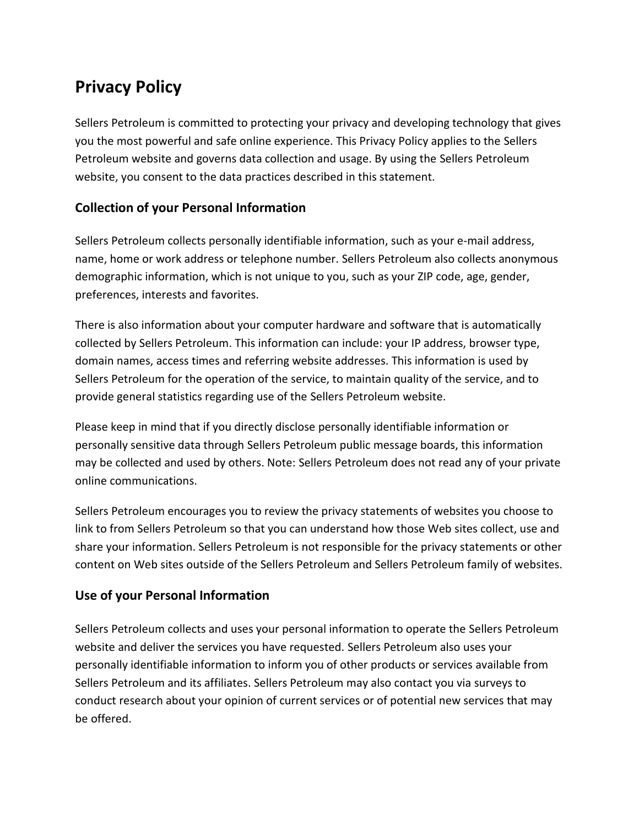# **Privacy Policy**

Sellers Petroleum is committed to protecting your privacy and developing technology that gives you the most powerful and safe online experience. This Privacy Policy applies to the Sellers Petroleum website and governs data collection and usage. By using the Sellers Petroleum website, you consent to the data practices described in this statement.

## **Collection of your Personal Information**

Sellers Petroleum collects personally identifiable information, such as your e-mail address, name, home or work address or telephone number. Sellers Petroleum also collects anonymous demographic information, which is not unique to you, such as your ZIP code, age, gender, preferences, interests and favorites.

There is also information about your computer hardware and software that is automatically collected by Sellers Petroleum. This information can include: your IP address, browser type, domain names, access times and referring website addresses. This information is used by Sellers Petroleum for the operation of the service, to maintain quality of the service, and to provide general statistics regarding use of the Sellers Petroleum website.

Please keep in mind that if you directly disclose personally identifiable information or personally sensitive data through Sellers Petroleum public message boards, this information may be collected and used by others. Note: Sellers Petroleum does not read any of your private online communications.

Sellers Petroleum encourages you to review the privacy statements of websites you choose to link to from Sellers Petroleum so that you can understand how those Web sites collect, use and share your information. Sellers Petroleum is not responsible for the privacy statements or other content on Web sites outside of the Sellers Petroleum and Sellers Petroleum family of websites.

### **Use of your Personal Information**

Sellers Petroleum collects and uses your personal information to operate the Sellers Petroleum website and deliver the services you have requested. Sellers Petroleum also uses your personally identifiable information to inform you of other products or services available from Sellers Petroleum and its affiliates. Sellers Petroleum may also contact you via surveys to conduct research about your opinion of current services or of potential new services that may be offered.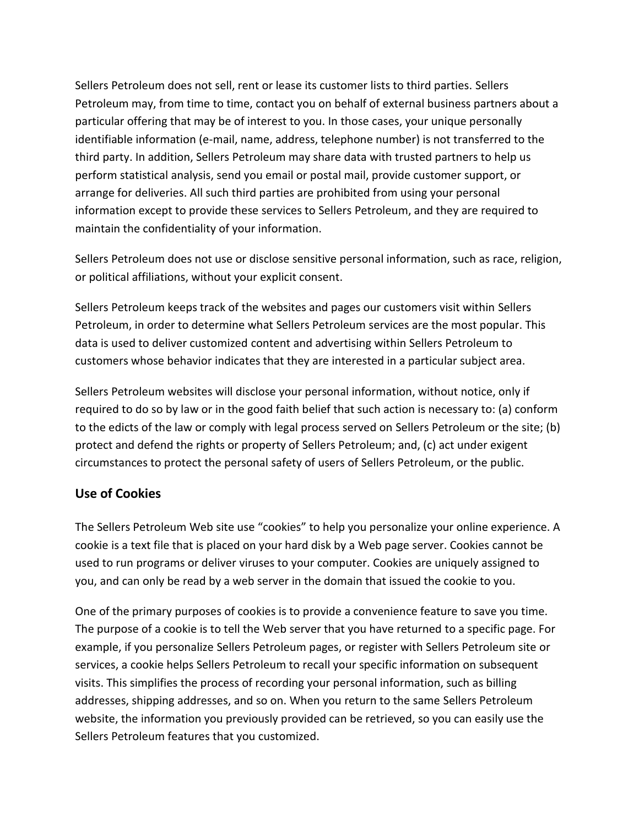Sellers Petroleum does not sell, rent or lease its customer lists to third parties. Sellers Petroleum may, from time to time, contact you on behalf of external business partners about a particular offering that may be of interest to you. In those cases, your unique personally identifiable information (e-mail, name, address, telephone number) is not transferred to the third party. In addition, Sellers Petroleum may share data with trusted partners to help us perform statistical analysis, send you email or postal mail, provide customer support, or arrange for deliveries. All such third parties are prohibited from using your personal information except to provide these services to Sellers Petroleum, and they are required to maintain the confidentiality of your information.

Sellers Petroleum does not use or disclose sensitive personal information, such as race, religion, or political affiliations, without your explicit consent.

Sellers Petroleum keeps track of the websites and pages our customers visit within Sellers Petroleum, in order to determine what Sellers Petroleum services are the most popular. This data is used to deliver customized content and advertising within Sellers Petroleum to customers whose behavior indicates that they are interested in a particular subject area.

Sellers Petroleum websites will disclose your personal information, without notice, only if required to do so by law or in the good faith belief that such action is necessary to: (a) conform to the edicts of the law or comply with legal process served on Sellers Petroleum or the site; (b) protect and defend the rights or property of Sellers Petroleum; and, (c) act under exigent circumstances to protect the personal safety of users of Sellers Petroleum, or the public.

### **Use of Cookies**

The Sellers Petroleum Web site use "cookies" to help you personalize your online experience. A cookie is a text file that is placed on your hard disk by a Web page server. Cookies cannot be used to run programs or deliver viruses to your computer. Cookies are uniquely assigned to you, and can only be read by a web server in the domain that issued the cookie to you.

One of the primary purposes of cookies is to provide a convenience feature to save you time. The purpose of a cookie is to tell the Web server that you have returned to a specific page. For example, if you personalize Sellers Petroleum pages, or register with Sellers Petroleum site or services, a cookie helps Sellers Petroleum to recall your specific information on subsequent visits. This simplifies the process of recording your personal information, such as billing addresses, shipping addresses, and so on. When you return to the same Sellers Petroleum website, the information you previously provided can be retrieved, so you can easily use the Sellers Petroleum features that you customized.